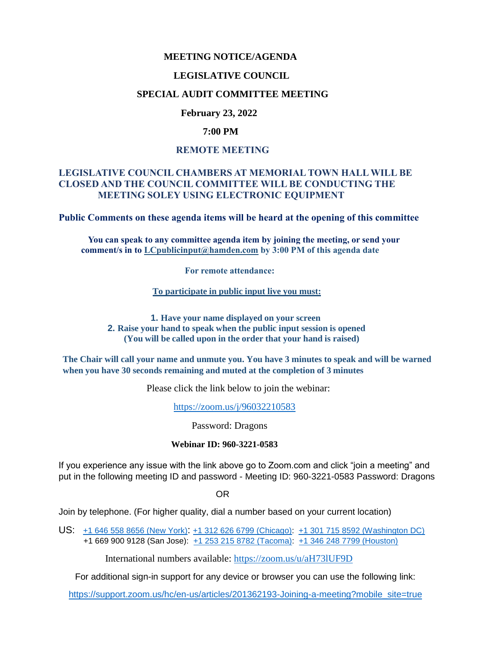## **MEETING NOTICE/AGENDA**

#### **LEGISLATIVE COUNCIL**

## **SPECIAL AUDIT COMMITTEE MEETING**

## **February 23, 2022**

## **7:00 PM**

## **REMOTE MEETING**

## **LEGISLATIVE COUNCIL CHAMBERS AT MEMORIAL TOWN HALL WILL BE CLOSED AND THE COUNCIL COMMITTEE WILL BE CONDUCTING THE MEETING SOLEY USING ELECTRONIC EQUIPMENT**

**Public Comments on these agenda items will be heard at the opening of this committee** 

 **You can speak to any committee agenda item by joining the meeting, or send your comment/s in to [LCpublicinput@hamden.com](mailto:LCpublicinput@hamden.com) by 3:00 PM of this agenda date**

 **For remote attendance:**

**To participate in public input live you must:**

**1. Have your name displayed on your screen 2. Raise your hand to speak when the public input session is opened (You will be called upon in the order that your hand is raised)**

**The Chair will call your name and unmute you. You have 3 minutes to speak and will be warned when you have 30 seconds remaining and muted at the completion of 3 minutes**

Please click the link below to join the webinar:

<https://zoom.us/j/96032210583>

Password: Dragons

#### **Webinar ID: 960-3221-0583**

If you experience any issue with the link above go to Zoom.com and click "join a meeting" and put in the following meeting ID and password - Meeting ID: 960-3221-0583 Password: Dragons

OR

Join by telephone. (For higher quality, dial a number based on your current location)

US: [+1 646 558 8656 \(New York\)](tel:+16465588656): [+1 312 626 6799 \(Chicago\):](tel:+13126266799) [+1 301 715 8592 \(Washington DC\)](tel:+13017158592) +1 669 900 9128 (San Jose): [+1 253 215 8782 \(Tacoma\):](tel:+12532158782) [+1 346 248 7799 \(Houston\)](tel:+13462487799)

International numbers available:<https://zoom.us/u/aH73lUF9D>

For additional sign-in support for any device or browser you can use the following link:

[https://support.zoom.us/hc/en-us/articles/201362193-Joining-a-meeting?mobile\\_site=true](https://support.zoom.us/hc/en-us/articles/201362193-Joining-a-meeting?mobile_site=true)